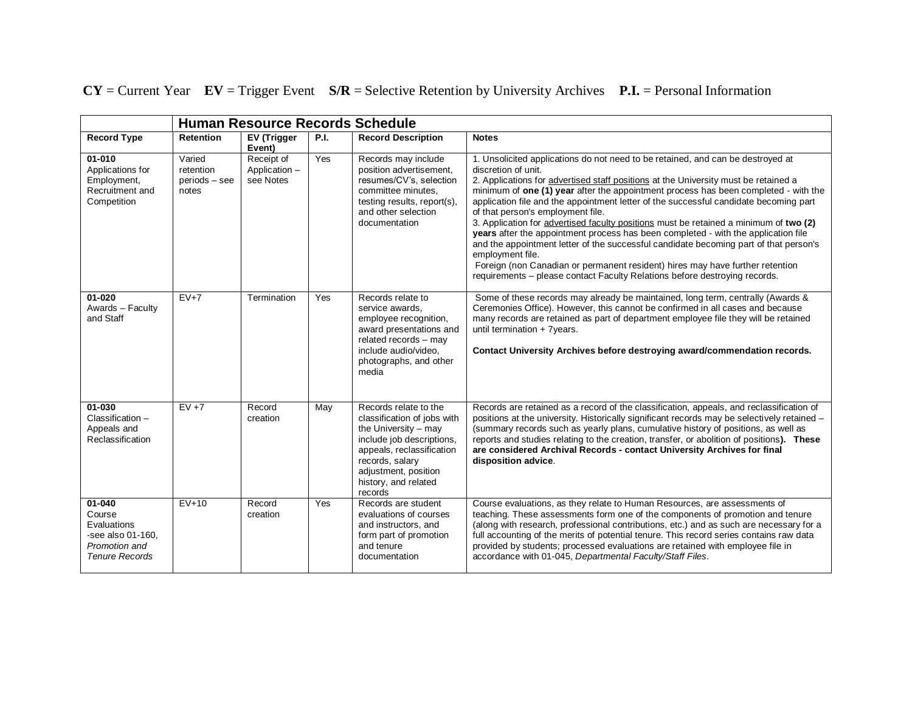**CY** = Current Year **EV** = Trigger Event **S/R** = Selective Retention by University Archives **P.I.** = Personal Information

|                                                                                                | <b>Human Resource Records Schedule</b>          |                                          |      |                                                                                                                                                                                                                      |                                                                                                                                                                                                                                                                                                                                                                                                                                                                                                                                                                                                                                                                                                                                                                                                                                                                               |  |  |
|------------------------------------------------------------------------------------------------|-------------------------------------------------|------------------------------------------|------|----------------------------------------------------------------------------------------------------------------------------------------------------------------------------------------------------------------------|-------------------------------------------------------------------------------------------------------------------------------------------------------------------------------------------------------------------------------------------------------------------------------------------------------------------------------------------------------------------------------------------------------------------------------------------------------------------------------------------------------------------------------------------------------------------------------------------------------------------------------------------------------------------------------------------------------------------------------------------------------------------------------------------------------------------------------------------------------------------------------|--|--|
| <b>Record Type</b>                                                                             | <b>Retention</b>                                | <b>EV</b> (Trigger<br>Event)             | P.I. | <b>Record Description</b>                                                                                                                                                                                            | <b>Notes</b>                                                                                                                                                                                                                                                                                                                                                                                                                                                                                                                                                                                                                                                                                                                                                                                                                                                                  |  |  |
| $01 - 010$<br>Applications for<br>Employment,<br>Recruitment and<br>Competition                | Varied<br>retention<br>$periods - see$<br>notes | Receipt of<br>Application -<br>see Notes | Yes  | Records may include<br>position advertisement,<br>resumes/CV's, selection<br>committee minutes.<br>testing results, report(s),<br>and other selection<br>documentation                                               | 1. Unsolicited applications do not need to be retained, and can be destroyed at<br>discretion of unit.<br>2. Applications for advertised staff positions at the University must be retained a<br>minimum of one (1) year after the appointment process has been completed - with the<br>application file and the appointment letter of the successful candidate becoming part<br>of that person's employment file.<br>3. Application for advertised faculty positions must be retained a minimum of two (2)<br>years after the appointment process has been completed - with the application file<br>and the appointment letter of the successful candidate becoming part of that person's<br>employment file.<br>Foreign (non Canadian or permanent resident) hires may have further retention<br>requirements - please contact Faculty Relations before destroying records. |  |  |
| $01 - 020$<br>Awards - Faculty<br>and Staff                                                    | $EV+7$                                          | Termination                              | Yes  | Records relate to<br>service awards.<br>employee recognition,<br>award presentations and<br>related records - may<br>include audio/video,<br>photographs, and other<br>media                                         | Some of these records may already be maintained, long term, centrally (Awards &<br>Ceremonies Office). However, this cannot be confirmed in all cases and because<br>many records are retained as part of department employee file they will be retained<br>until termination + 7years.<br>Contact University Archives before destroying award/commendation records.                                                                                                                                                                                                                                                                                                                                                                                                                                                                                                          |  |  |
| 01-030<br>Classification -<br>Appeals and<br>Reclassification                                  | $EV + 7$                                        | Record<br>creation                       | May  | Records relate to the<br>classification of jobs with<br>the University - may<br>include job descriptions,<br>appeals, reclassification<br>records, salary<br>adjustment, position<br>history, and related<br>records | Records are retained as a record of the classification, appeals, and reclassification of<br>positions at the university. Historically significant records may be selectively retained -<br>(summary records such as yearly plans, cumulative history of positions, as well as<br>reports and studies relating to the creation, transfer, or abolition of positions). These<br>are considered Archival Records - contact University Archives for final<br>disposition advice.                                                                                                                                                                                                                                                                                                                                                                                                  |  |  |
| 01-040<br>Course<br>Evaluations<br>-see also 01-160.<br>Promotion and<br><b>Tenure Records</b> | $EV+10$                                         | Record<br>creation                       | Yes  | Records are student<br>evaluations of courses<br>and instructors, and<br>form part of promotion<br>and tenure<br>documentation                                                                                       | Course evaluations, as they relate to Human Resources, are assessments of<br>teaching. These assessments form one of the components of promotion and tenure<br>(along with research, professional contributions, etc.) and as such are necessary for a<br>full accounting of the merits of potential tenure. This record series contains raw data<br>provided by students; processed evaluations are retained with employee file in<br>accordance with 01-045, Departmental Faculty/Staff Files.                                                                                                                                                                                                                                                                                                                                                                              |  |  |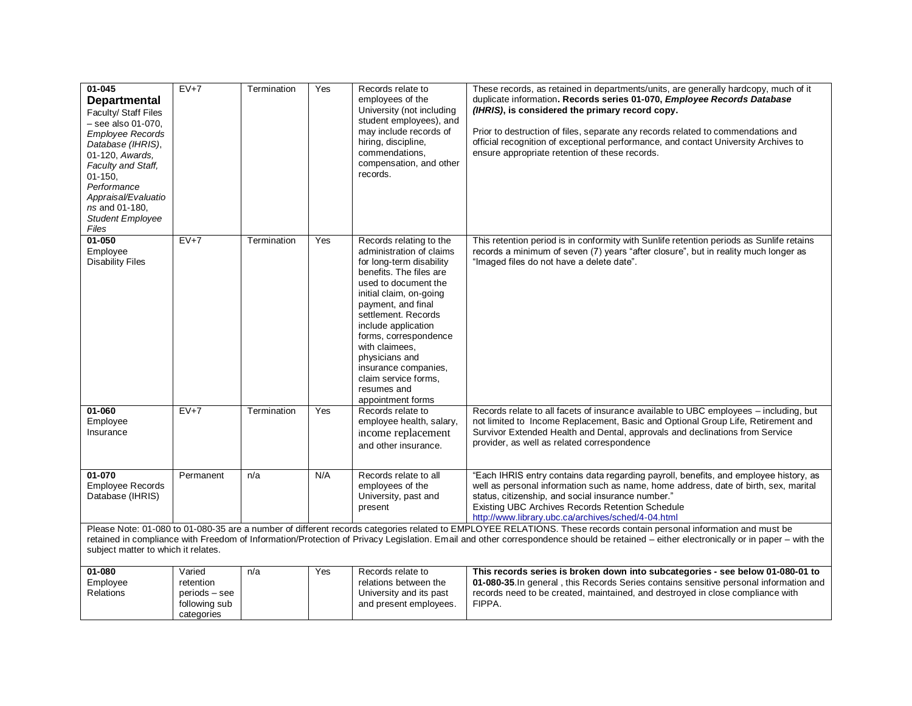| 01-045<br><b>Departmental</b><br>Faculty/ Staff Files<br>- see also 01-070.<br><b>Employee Records</b><br>Database (IHRIS),<br>01-120, Awards,<br>Faculty and Staff,<br>$01 - 150$ ,<br>Performance<br>Appraisal/Evaluatio<br>ns and 01-180.<br><b>Student Employee</b><br>Files | $EV+7$                                                                                                                                                                                                                                                                                                                                                                                               | Termination | Yes | Records relate to<br>employees of the<br>University (not including<br>student employees), and<br>may include records of<br>hiring, discipline,<br>commendations.<br>compensation, and other<br>records.                                                                                                                                                                            | These records, as retained in departments/units, are generally hardcopy, much of it<br>duplicate information. Records series 01-070, Employee Records Database<br>(IHRIS), is considered the primary record copy.<br>Prior to destruction of files, separate any records related to commendations and<br>official recognition of exceptional performance, and contact University Archives to<br>ensure appropriate retention of these records. |  |  |
|----------------------------------------------------------------------------------------------------------------------------------------------------------------------------------------------------------------------------------------------------------------------------------|------------------------------------------------------------------------------------------------------------------------------------------------------------------------------------------------------------------------------------------------------------------------------------------------------------------------------------------------------------------------------------------------------|-------------|-----|------------------------------------------------------------------------------------------------------------------------------------------------------------------------------------------------------------------------------------------------------------------------------------------------------------------------------------------------------------------------------------|------------------------------------------------------------------------------------------------------------------------------------------------------------------------------------------------------------------------------------------------------------------------------------------------------------------------------------------------------------------------------------------------------------------------------------------------|--|--|
| $01 - 050$<br>Emplovee<br><b>Disability Files</b>                                                                                                                                                                                                                                | $EV+7$                                                                                                                                                                                                                                                                                                                                                                                               | Termination | Yes | Records relating to the<br>administration of claims<br>for long-term disability<br>benefits. The files are<br>used to document the<br>initial claim, on-going<br>payment, and final<br>settlement. Records<br>include application<br>forms, correspondence<br>with claimees.<br>physicians and<br>insurance companies,<br>claim service forms,<br>resumes and<br>appointment forms | This retention period is in conformity with Sunlife retention periods as Sunlife retains<br>records a minimum of seven (7) years "after closure", but in reality much longer as<br>"Imaged files do not have a delete date".                                                                                                                                                                                                                   |  |  |
| 01-060<br>Employee<br>Insurance                                                                                                                                                                                                                                                  | $EV+7$                                                                                                                                                                                                                                                                                                                                                                                               | Termination | Yes | Records relate to<br>employee health, salary,<br>income replacement<br>and other insurance.                                                                                                                                                                                                                                                                                        | Records relate to all facets of insurance available to UBC employees - including, but<br>not limited to Income Replacement, Basic and Optional Group Life, Retirement and<br>Survivor Extended Health and Dental, approvals and declinations from Service<br>provider, as well as related correspondence                                                                                                                                       |  |  |
| 01-070<br><b>Employee Records</b><br>Database (IHRIS)                                                                                                                                                                                                                            | Permanent                                                                                                                                                                                                                                                                                                                                                                                            | n/a         | N/A | Records relate to all<br>employees of the<br>University, past and<br>present                                                                                                                                                                                                                                                                                                       | "Each IHRIS entry contains data regarding payroll, benefits, and employee history, as<br>well as personal information such as name, home address, date of birth, sex, marital<br>status, citizenship, and social insurance number."<br>Existing UBC Archives Records Retention Schedule<br>http://www.library.ubc.ca/archives/sched/4-04.html                                                                                                  |  |  |
|                                                                                                                                                                                                                                                                                  | Please Note: 01-080 to 01-080-35 are a number of different records categories related to EMPLOYEE RELATIONS. These records contain personal information and must be<br>retained in compliance with Freedom of Information/Protection of Privacy Legislation. Email and other correspondence should be retained - either electronically or in paper - with the<br>subject matter to which it relates. |             |     |                                                                                                                                                                                                                                                                                                                                                                                    |                                                                                                                                                                                                                                                                                                                                                                                                                                                |  |  |
| $01 - 080$<br>Employee<br>Relations                                                                                                                                                                                                                                              | Varied<br>retention<br>periods – see<br>following sub<br>categories                                                                                                                                                                                                                                                                                                                                  | n/a         | Yes | Records relate to<br>relations between the<br>University and its past<br>and present employees.                                                                                                                                                                                                                                                                                    | This records series is broken down into subcategories - see below 01-080-01 to<br>01-080-35. In general, this Records Series contains sensitive personal information and<br>records need to be created, maintained, and destroyed in close compliance with<br>FIPPA.                                                                                                                                                                           |  |  |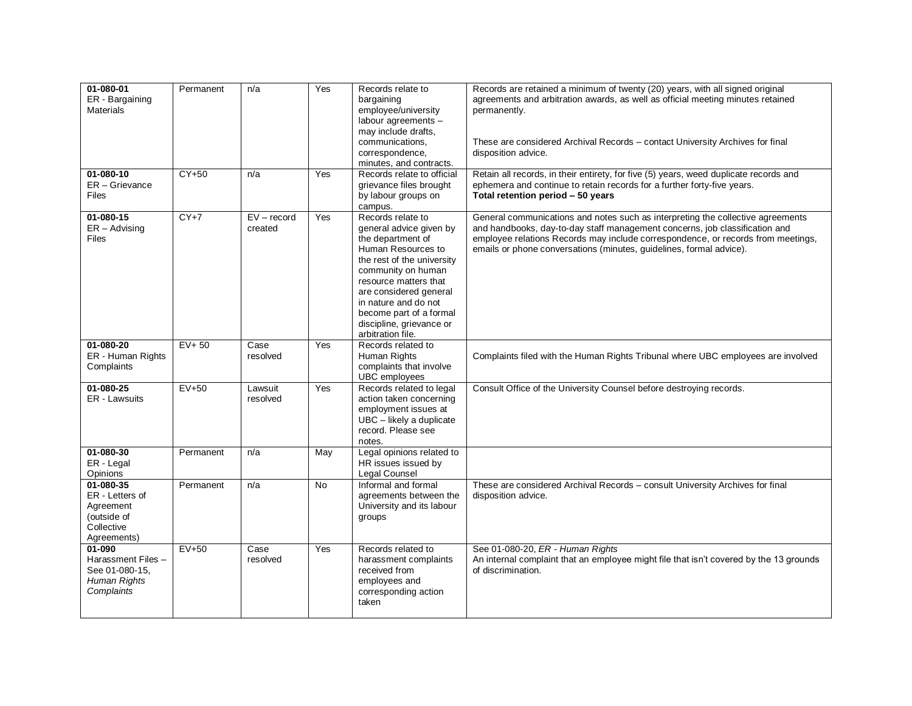| 01-080-01<br>ER - Bargaining<br><b>Materials</b>                                      | Permanent | n/a                      | Yes       | Records relate to<br>bargaining<br>employee/university<br>labour agreements -<br>may include drafts,<br>communications.<br>correspondence,<br>minutes, and contracts.                                                                                                                              | Records are retained a minimum of twenty (20) years, with all signed original<br>agreements and arbitration awards, as well as official meeting minutes retained<br>permanently.<br>These are considered Archival Records - contact University Archives for final<br>disposition advice.                                  |
|---------------------------------------------------------------------------------------|-----------|--------------------------|-----------|----------------------------------------------------------------------------------------------------------------------------------------------------------------------------------------------------------------------------------------------------------------------------------------------------|---------------------------------------------------------------------------------------------------------------------------------------------------------------------------------------------------------------------------------------------------------------------------------------------------------------------------|
| 01-080-10<br>ER - Grievance<br><b>Files</b>                                           | $CY+50$   | n/a                      | Yes       | Records relate to official<br>grievance files brought<br>by labour groups on<br>campus.                                                                                                                                                                                                            | Retain all records, in their entirety, for five (5) years, weed duplicate records and<br>ephemera and continue to retain records for a further forty-five years.<br>Total retention period - 50 years                                                                                                                     |
| 01-080-15<br>$ER -$ Advising<br><b>Files</b>                                          | $CY+7$    | $EV - record$<br>created | Yes       | Records relate to<br>general advice given by<br>the department of<br>Human Resources to<br>the rest of the university<br>community on human<br>resource matters that<br>are considered general<br>in nature and do not<br>become part of a formal<br>discipline, grievance or<br>arbitration file. | General communications and notes such as interpreting the collective agreements<br>and handbooks, day-to-day staff management concerns, job classification and<br>employee relations Records may include correspondence, or records from meetings,<br>emails or phone conversations (minutes, guidelines, formal advice). |
| 01-080-20<br>ER - Human Rights<br>Complaints                                          | $EV+50$   | Case<br>resolved         | Yes       | Records related to<br>Human Rights<br>complaints that involve<br>UBC employees                                                                                                                                                                                                                     | Complaints filed with the Human Rights Tribunal where UBC employees are involved                                                                                                                                                                                                                                          |
| 01-080-25<br>ER - Lawsuits                                                            | $EV+50$   | Lawsuit<br>resolved      | Yes       | Records related to legal<br>action taken concerning<br>employment issues at<br>UBC - likely a duplicate<br>record. Please see<br>notes.                                                                                                                                                            | Consult Office of the University Counsel before destroying records.                                                                                                                                                                                                                                                       |
| $01 - 080 - 30$<br>ER - Legal<br>Opinions                                             | Permanent | n/a                      | May       | Legal opinions related to<br>HR issues issued by<br>Legal Counsel                                                                                                                                                                                                                                  |                                                                                                                                                                                                                                                                                                                           |
| 01-080-35<br>ER - Letters of<br>Agreement<br>(outside of<br>Collective<br>Agreements) | Permanent | n/a                      | <b>No</b> | Informal and formal<br>agreements between the<br>University and its labour<br>groups                                                                                                                                                                                                               | These are considered Archival Records - consult University Archives for final<br>disposition advice.                                                                                                                                                                                                                      |
| 01-090<br>Harassment Files -<br>See 01-080-15,<br>Human Rights<br>Complaints          | $EV+50$   | Case<br>resolved         | Yes       | Records related to<br>harassment complaints<br>received from<br>employees and<br>corresponding action<br>taken                                                                                                                                                                                     | See 01-080-20, ER - Human Rights<br>An internal complaint that an employee might file that isn't covered by the 13 grounds<br>of discrimination.                                                                                                                                                                          |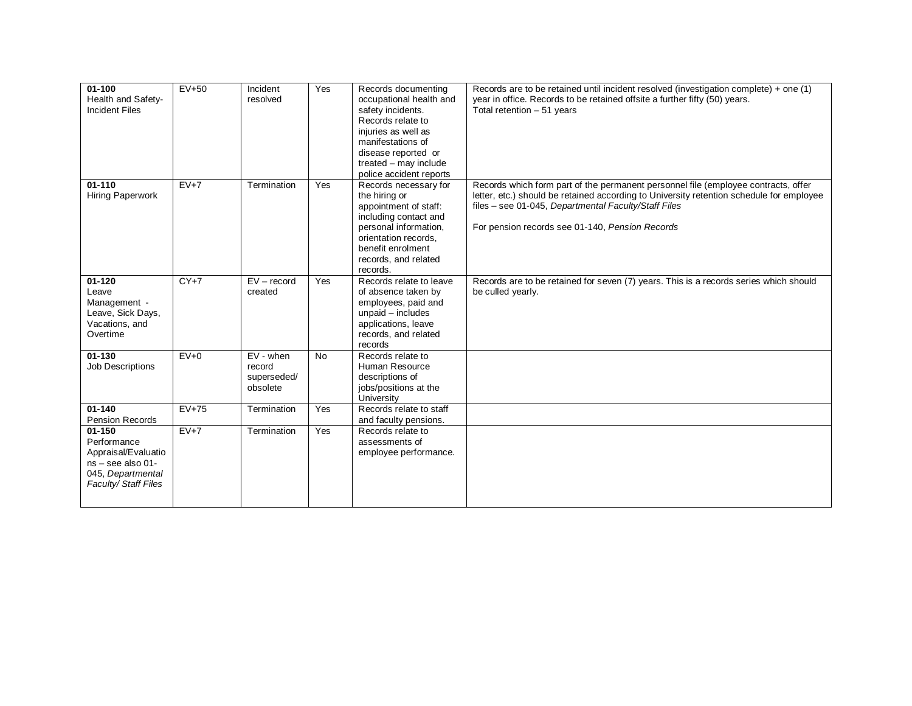| $01 - 100$<br>Health and Safety-<br><b>Incident Files</b>                                                         | $EV+50$ | Incident<br>resolved                             | Yes       | Records documenting<br>occupational health and<br>safety incidents.<br>Records relate to<br>injuries as well as<br>manifestations of<br>disease reported or<br>treated - may include<br>police accident reports | Records are to be retained until incident resolved (investigation complete) + one (1)<br>year in office. Records to be retained offsite a further fifty (50) years.<br>Total retention $-51$ years                                                                                        |
|-------------------------------------------------------------------------------------------------------------------|---------|--------------------------------------------------|-----------|-----------------------------------------------------------------------------------------------------------------------------------------------------------------------------------------------------------------|-------------------------------------------------------------------------------------------------------------------------------------------------------------------------------------------------------------------------------------------------------------------------------------------|
| $01 - 110$<br>Hiring Paperwork                                                                                    | $EV+7$  | Termination                                      | Yes       | Records necessary for<br>the hiring or<br>appointment of staff:<br>including contact and<br>personal information,<br>orientation records.<br>benefit enrolment<br>records, and related<br>records.              | Records which form part of the permanent personnel file (employee contracts, offer<br>letter, etc.) should be retained according to University retention schedule for employee<br>files - see 01-045, Departmental Faculty/Staff Files<br>For pension records see 01-140, Pension Records |
| $01 - 120$<br>Leave<br>Management -<br>Leave, Sick Days,<br>Vacations, and<br>Overtime                            | $CY+7$  | $EV - record$<br>created                         | Yes       | Records relate to leave<br>of absence taken by<br>employees, paid and<br>unpaid - includes<br>applications, leave<br>records, and related<br>records                                                            | Records are to be retained for seven (7) years. This is a records series which should<br>be culled yearly.                                                                                                                                                                                |
| $01 - 130$<br>Job Descriptions                                                                                    | $EV+0$  | $EV - when$<br>record<br>superseded/<br>obsolete | <b>No</b> | Records relate to<br>Human Resource<br>descriptions of<br>jobs/positions at the<br>University                                                                                                                   |                                                                                                                                                                                                                                                                                           |
| $01 - 140$<br>Pension Records                                                                                     | $EV+75$ | Termination                                      | Yes       | Records relate to staff<br>and faculty pensions.                                                                                                                                                                |                                                                                                                                                                                                                                                                                           |
| $01 - 150$<br>Performance<br>Appraisal/Evaluatio<br>ns - see also 01-<br>045, Departmental<br>Faculty/Staff Files | $EV+7$  | Termination                                      | Yes       | Records relate to<br>assessments of<br>employee performance.                                                                                                                                                    |                                                                                                                                                                                                                                                                                           |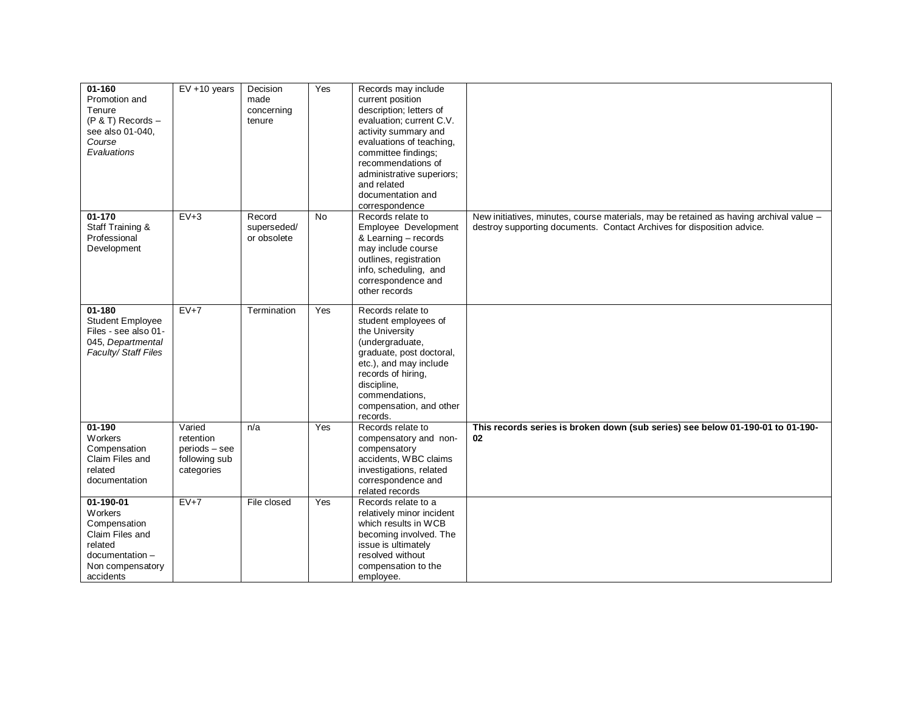| $01 - 160$<br>Promotion and<br>Tenure<br>$(P & T)$ Records $-$<br>see also 01-040,<br>Course<br>Evaluations            | $EV + 10$ years                                                     | Decision<br>made<br>concerning<br>tenure | Yes       | Records may include<br>current position<br>description; letters of<br>evaluation; current C.V.<br>activity summary and<br>evaluations of teaching,<br>committee findings;<br>recommendations of<br>administrative superiors;<br>and related<br>documentation and<br>correspondence |                                                                                                                                                                  |
|------------------------------------------------------------------------------------------------------------------------|---------------------------------------------------------------------|------------------------------------------|-----------|------------------------------------------------------------------------------------------------------------------------------------------------------------------------------------------------------------------------------------------------------------------------------------|------------------------------------------------------------------------------------------------------------------------------------------------------------------|
| $01 - 170$<br>Staff Training &<br>Professional<br>Development                                                          | $EV+3$                                                              | Record<br>superseded/<br>or obsolete     | <b>No</b> | Records relate to<br>Employee Development<br>& Learning - records<br>may include course<br>outlines, registration<br>info, scheduling, and<br>correspondence and<br>other records                                                                                                  | New initiatives, minutes, course materials, may be retained as having archival value -<br>destroy supporting documents. Contact Archives for disposition advice. |
| $01 - 180$<br><b>Student Employee</b><br>Files - see also 01-<br>045, Departmental<br>Faculty/Staff Files              | $EV+7$                                                              | Termination                              | Yes       | Records relate to<br>student employees of<br>the University<br>(undergraduate,<br>graduate, post doctoral,<br>etc.), and may include<br>records of hiring,<br>discipline,<br>commendations,<br>compensation, and other<br>records.                                                 |                                                                                                                                                                  |
| $01 - 190$<br>Workers<br>Compensation<br>Claim Files and<br>related<br>documentation                                   | Varied<br>retention<br>periods - see<br>following sub<br>categories | n/a                                      | Yes       | Records relate to<br>compensatory and non-<br>compensatory<br>accidents, WBC claims<br>investigations, related<br>correspondence and<br>related records                                                                                                                            | This records series is broken down (sub series) see below 01-190-01 to 01-190-<br>02                                                                             |
| 01-190-01<br>Workers<br>Compensation<br>Claim Files and<br>related<br>documentation -<br>Non compensatory<br>accidents | $EV+7$                                                              | File closed                              | Yes       | Records relate to a<br>relatively minor incident<br>which results in WCB<br>becoming involved. The<br>issue is ultimately<br>resolved without<br>compensation to the<br>employee.                                                                                                  |                                                                                                                                                                  |